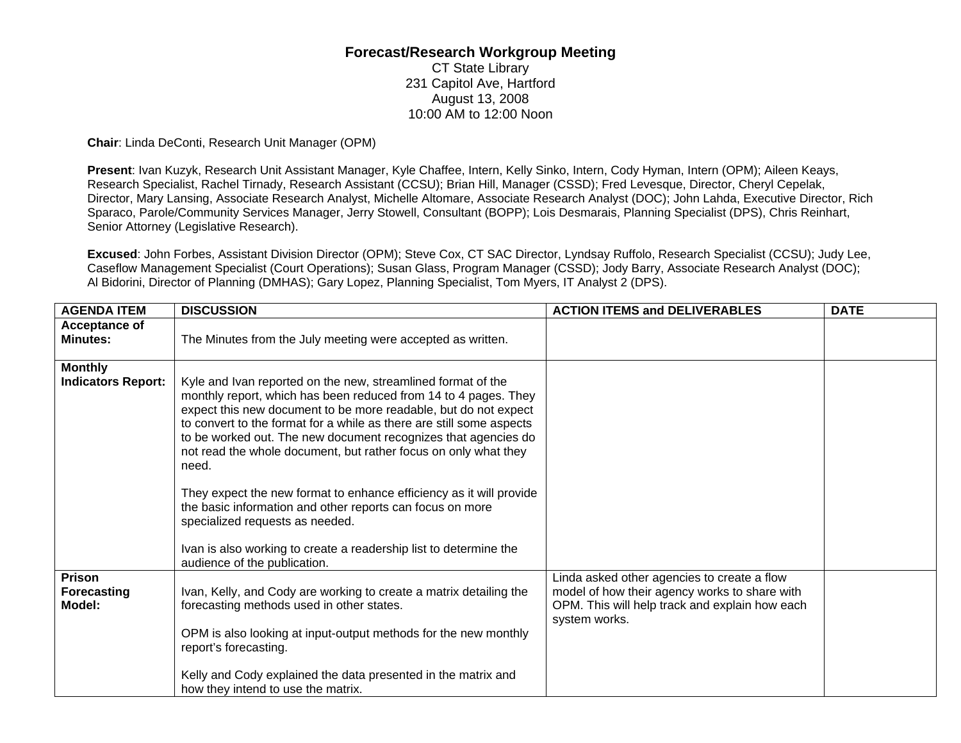## **Forecast/Research Workgroup Meeting**

CT State Library 231 Capitol Ave, Hartford August 13, 2008 10:00 AM to 12:00 Noon

**Chair**: Linda DeConti, Research Unit Manager (OPM)

**Present**: Ivan Kuzyk, Research Unit Assistant Manager, Kyle Chaffee, Intern, Kelly Sinko, Intern, Cody Hyman, Intern (OPM); Aileen Keays, Research Specialist, Rachel Tirnady, Research Assistant (CCSU); Brian Hill, Manager (CSSD); Fred Levesque, Director, Cheryl Cepelak, Director, Mary Lansing, Associate Research Analyst, Michelle Altomare, Associate Research Analyst (DOC); John Lahda, Executive Director, Rich Sparaco, Parole/Community Services Manager, Jerry Stowell, Consultant (BOPP); Lois Desmarais, Planning Specialist (DPS), Chris Reinhart, Senior Attorney (Legislative Research).

**Excused**: John Forbes, Assistant Division Director (OPM); Steve Cox, CT SAC Director, Lyndsay Ruffolo, Research Specialist (CCSU); Judy Lee, Caseflow Management Specialist (Court Operations); Susan Glass, Program Manager (CSSD); Jody Barry, Associate Research Analyst (DOC); Al Bidorini, Director of Planning (DMHAS); Gary Lopez, Planning Specialist, Tom Myers, IT Analyst 2 (DPS).

| <b>AGENDA ITEM</b>                          | <b>DISCUSSION</b>                                                                                                                                                                                                                                                                                                                                                                                                        | <b>ACTION ITEMS and DELIVERABLES</b>                                                                             | <b>DATE</b> |
|---------------------------------------------|--------------------------------------------------------------------------------------------------------------------------------------------------------------------------------------------------------------------------------------------------------------------------------------------------------------------------------------------------------------------------------------------------------------------------|------------------------------------------------------------------------------------------------------------------|-------------|
| <b>Acceptance of</b>                        |                                                                                                                                                                                                                                                                                                                                                                                                                          |                                                                                                                  |             |
| <b>Minutes:</b>                             | The Minutes from the July meeting were accepted as written.                                                                                                                                                                                                                                                                                                                                                              |                                                                                                                  |             |
|                                             |                                                                                                                                                                                                                                                                                                                                                                                                                          |                                                                                                                  |             |
| <b>Monthly</b><br><b>Indicators Report:</b> | Kyle and Ivan reported on the new, streamlined format of the<br>monthly report, which has been reduced from 14 to 4 pages. They<br>expect this new document to be more readable, but do not expect<br>to convert to the format for a while as there are still some aspects<br>to be worked out. The new document recognizes that agencies do<br>not read the whole document, but rather focus on only what they<br>need. |                                                                                                                  |             |
|                                             | They expect the new format to enhance efficiency as it will provide<br>the basic information and other reports can focus on more<br>specialized requests as needed.<br>Ivan is also working to create a readership list to determine the                                                                                                                                                                                 |                                                                                                                  |             |
| Prison                                      | audience of the publication.                                                                                                                                                                                                                                                                                                                                                                                             | Linda asked other agencies to create a flow                                                                      |             |
| Forecasting<br>Model:                       | Ivan, Kelly, and Cody are working to create a matrix detailing the<br>forecasting methods used in other states.                                                                                                                                                                                                                                                                                                          | model of how their agency works to share with<br>OPM. This will help track and explain how each<br>system works. |             |
|                                             | OPM is also looking at input-output methods for the new monthly<br>report's forecasting.                                                                                                                                                                                                                                                                                                                                 |                                                                                                                  |             |
|                                             | Kelly and Cody explained the data presented in the matrix and<br>how they intend to use the matrix.                                                                                                                                                                                                                                                                                                                      |                                                                                                                  |             |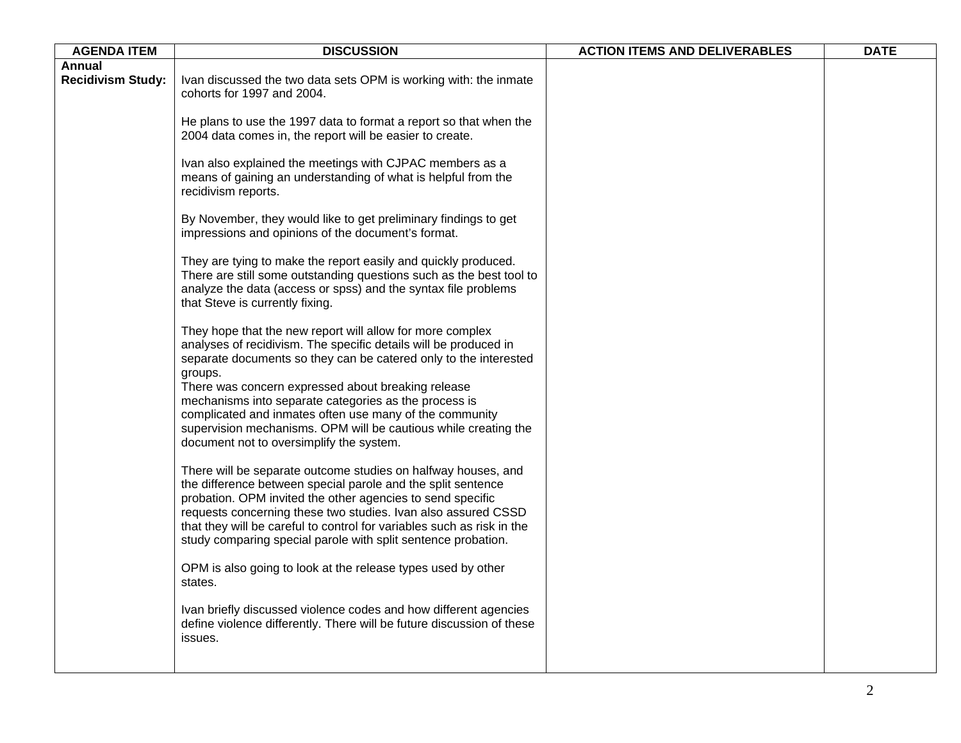| <b>AGENDA ITEM</b>       | <b>DISCUSSION</b>                                                                                                                                                                                                                                                                                                                                                                                       | <b>ACTION ITEMS AND DELIVERABLES</b> | <b>DATE</b> |
|--------------------------|---------------------------------------------------------------------------------------------------------------------------------------------------------------------------------------------------------------------------------------------------------------------------------------------------------------------------------------------------------------------------------------------------------|--------------------------------------|-------------|
| Annual                   |                                                                                                                                                                                                                                                                                                                                                                                                         |                                      |             |
| <b>Recidivism Study:</b> | Ivan discussed the two data sets OPM is working with: the inmate<br>cohorts for 1997 and 2004.                                                                                                                                                                                                                                                                                                          |                                      |             |
|                          | He plans to use the 1997 data to format a report so that when the<br>2004 data comes in, the report will be easier to create.                                                                                                                                                                                                                                                                           |                                      |             |
|                          | Ivan also explained the meetings with CJPAC members as a<br>means of gaining an understanding of what is helpful from the<br>recidivism reports.                                                                                                                                                                                                                                                        |                                      |             |
|                          | By November, they would like to get preliminary findings to get<br>impressions and opinions of the document's format.                                                                                                                                                                                                                                                                                   |                                      |             |
|                          | They are tying to make the report easily and quickly produced.<br>There are still some outstanding questions such as the best tool to<br>analyze the data (access or spss) and the syntax file problems<br>that Steve is currently fixing.                                                                                                                                                              |                                      |             |
|                          | They hope that the new report will allow for more complex<br>analyses of recidivism. The specific details will be produced in<br>separate documents so they can be catered only to the interested<br>groups.<br>There was concern expressed about breaking release<br>mechanisms into separate categories as the process is                                                                             |                                      |             |
|                          | complicated and inmates often use many of the community<br>supervision mechanisms. OPM will be cautious while creating the<br>document not to oversimplify the system.                                                                                                                                                                                                                                  |                                      |             |
|                          | There will be separate outcome studies on halfway houses, and<br>the difference between special parole and the split sentence<br>probation. OPM invited the other agencies to send specific<br>requests concerning these two studies. Ivan also assured CSSD<br>that they will be careful to control for variables such as risk in the<br>study comparing special parole with split sentence probation. |                                      |             |
|                          | OPM is also going to look at the release types used by other<br>states.                                                                                                                                                                                                                                                                                                                                 |                                      |             |
|                          | Ivan briefly discussed violence codes and how different agencies<br>define violence differently. There will be future discussion of these<br>issues.                                                                                                                                                                                                                                                    |                                      |             |
|                          |                                                                                                                                                                                                                                                                                                                                                                                                         |                                      |             |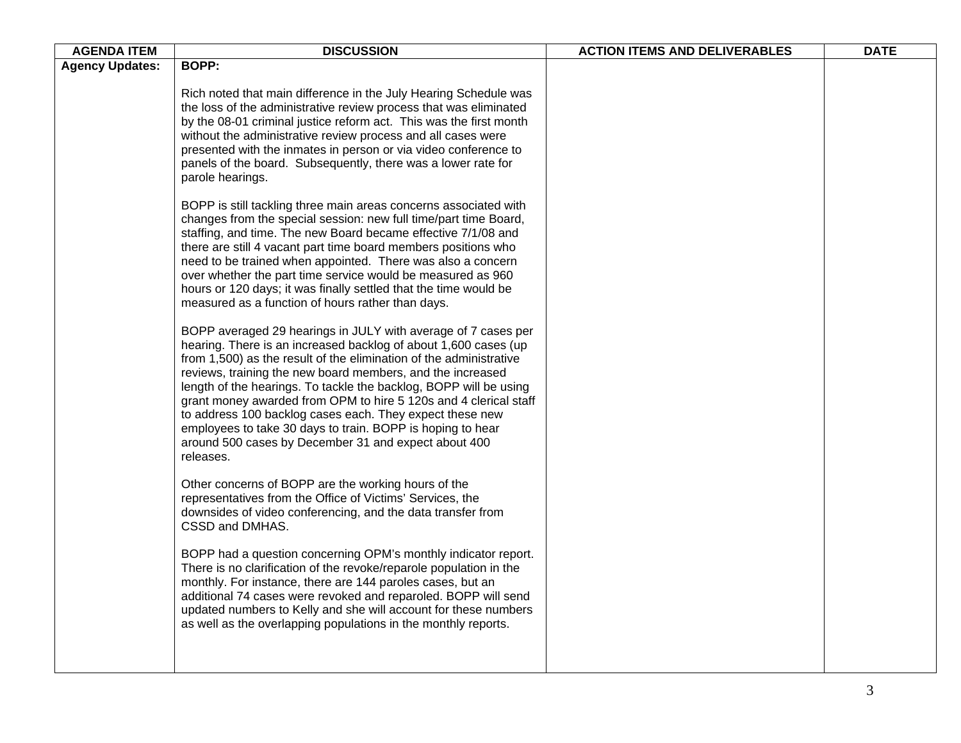| <b>AGENDA ITEM</b>     | <b>DISCUSSION</b>                                                                                                                                                                                                                                                                                                                                                                                                                                                                                                                                                                                            | <b>ACTION ITEMS AND DELIVERABLES</b> | <b>DATE</b> |
|------------------------|--------------------------------------------------------------------------------------------------------------------------------------------------------------------------------------------------------------------------------------------------------------------------------------------------------------------------------------------------------------------------------------------------------------------------------------------------------------------------------------------------------------------------------------------------------------------------------------------------------------|--------------------------------------|-------------|
| <b>Agency Updates:</b> | <b>BOPP:</b>                                                                                                                                                                                                                                                                                                                                                                                                                                                                                                                                                                                                 |                                      |             |
|                        | Rich noted that main difference in the July Hearing Schedule was<br>the loss of the administrative review process that was eliminated<br>by the 08-01 criminal justice reform act. This was the first month<br>without the administrative review process and all cases were<br>presented with the inmates in person or via video conference to<br>panels of the board. Subsequently, there was a lower rate for<br>parole hearings.                                                                                                                                                                          |                                      |             |
|                        | BOPP is still tackling three main areas concerns associated with<br>changes from the special session: new full time/part time Board,<br>staffing, and time. The new Board became effective 7/1/08 and<br>there are still 4 vacant part time board members positions who<br>need to be trained when appointed. There was also a concern<br>over whether the part time service would be measured as 960<br>hours or 120 days; it was finally settled that the time would be<br>measured as a function of hours rather than days.                                                                               |                                      |             |
|                        | BOPP averaged 29 hearings in JULY with average of 7 cases per<br>hearing. There is an increased backlog of about 1,600 cases (up<br>from 1,500) as the result of the elimination of the administrative<br>reviews, training the new board members, and the increased<br>length of the hearings. To tackle the backlog, BOPP will be using<br>grant money awarded from OPM to hire 5 120s and 4 clerical staff<br>to address 100 backlog cases each. They expect these new<br>employees to take 30 days to train. BOPP is hoping to hear<br>around 500 cases by December 31 and expect about 400<br>releases. |                                      |             |
|                        | Other concerns of BOPP are the working hours of the<br>representatives from the Office of Victims' Services, the<br>downsides of video conferencing, and the data transfer from<br>CSSD and DMHAS.                                                                                                                                                                                                                                                                                                                                                                                                           |                                      |             |
|                        | BOPP had a question concerning OPM's monthly indicator report.<br>There is no clarification of the revoke/reparole population in the<br>monthly. For instance, there are 144 paroles cases, but an<br>additional 74 cases were revoked and reparoled. BOPP will send<br>updated numbers to Kelly and she will account for these numbers<br>as well as the overlapping populations in the monthly reports.                                                                                                                                                                                                    |                                      |             |
|                        |                                                                                                                                                                                                                                                                                                                                                                                                                                                                                                                                                                                                              |                                      |             |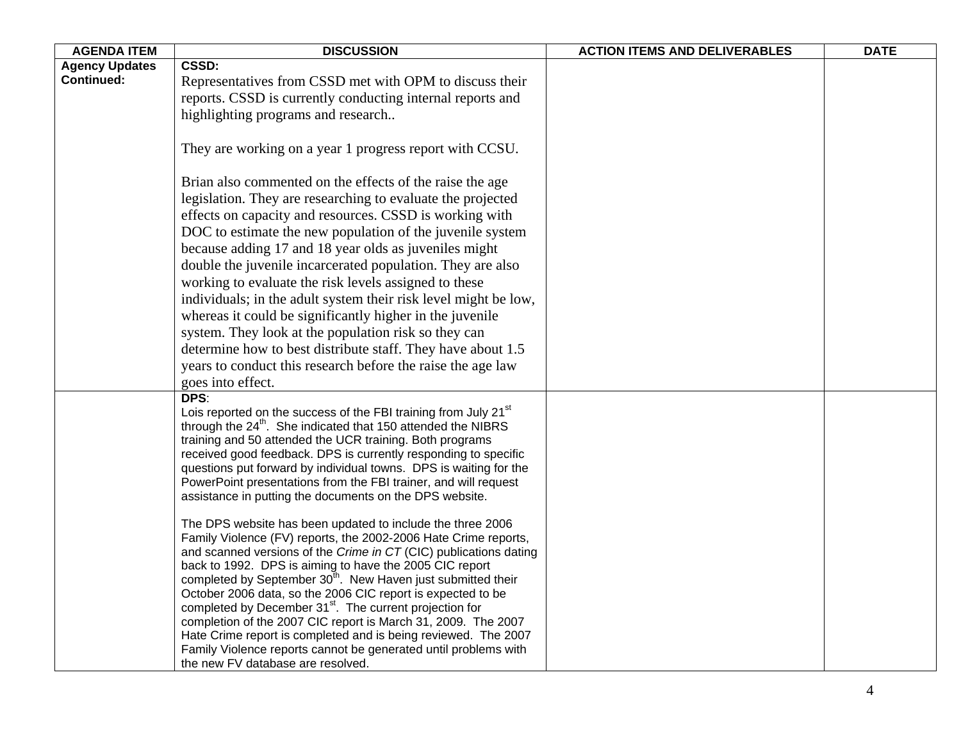| <b>AGENDA ITEM</b>    | <b>DISCUSSION</b>                                                                                                                    | <b>ACTION ITEMS AND DELIVERABLES</b> | <b>DATE</b> |
|-----------------------|--------------------------------------------------------------------------------------------------------------------------------------|--------------------------------------|-------------|
| <b>Agency Updates</b> | <b>CSSD:</b>                                                                                                                         |                                      |             |
| <b>Continued:</b>     | Representatives from CSSD met with OPM to discuss their                                                                              |                                      |             |
|                       | reports. CSSD is currently conducting internal reports and                                                                           |                                      |             |
|                       | highlighting programs and research                                                                                                   |                                      |             |
|                       |                                                                                                                                      |                                      |             |
|                       | They are working on a year 1 progress report with CCSU.                                                                              |                                      |             |
|                       | Brian also commented on the effects of the raise the age                                                                             |                                      |             |
|                       | legislation. They are researching to evaluate the projected                                                                          |                                      |             |
|                       | effects on capacity and resources. CSSD is working with                                                                              |                                      |             |
|                       | DOC to estimate the new population of the juvenile system                                                                            |                                      |             |
|                       | because adding 17 and 18 year olds as juveniles might                                                                                |                                      |             |
|                       | double the juvenile incarcerated population. They are also                                                                           |                                      |             |
|                       | working to evaluate the risk levels assigned to these                                                                                |                                      |             |
|                       | individuals; in the adult system their risk level might be low,                                                                      |                                      |             |
|                       | whereas it could be significantly higher in the juvenile                                                                             |                                      |             |
|                       | system. They look at the population risk so they can                                                                                 |                                      |             |
|                       | determine how to best distribute staff. They have about 1.5                                                                          |                                      |             |
|                       | years to conduct this research before the raise the age law                                                                          |                                      |             |
|                       | goes into effect.                                                                                                                    |                                      |             |
|                       | DPS:                                                                                                                                 |                                      |             |
|                       | Lois reported on the success of the FBI training from July 21 <sup>st</sup>                                                          |                                      |             |
|                       | through the 24 <sup>th</sup> . She indicated that 150 attended the NIBRS                                                             |                                      |             |
|                       | training and 50 attended the UCR training. Both programs                                                                             |                                      |             |
|                       | received good feedback. DPS is currently responding to specific                                                                      |                                      |             |
|                       | questions put forward by individual towns. DPS is waiting for the                                                                    |                                      |             |
|                       | PowerPoint presentations from the FBI trainer, and will request                                                                      |                                      |             |
|                       | assistance in putting the documents on the DPS website.                                                                              |                                      |             |
|                       | The DPS website has been updated to include the three 2006                                                                           |                                      |             |
|                       | Family Violence (FV) reports, the 2002-2006 Hate Crime reports,                                                                      |                                      |             |
|                       | and scanned versions of the Crime in CT (CIC) publications dating                                                                    |                                      |             |
|                       | back to 1992. DPS is aiming to have the 2005 CIC report                                                                              |                                      |             |
|                       | completed by September $30^{\text{th}}$ . New Haven just submitted their                                                             |                                      |             |
|                       | October 2006 data, so the 2006 CIC report is expected to be                                                                          |                                      |             |
|                       | completed by December 31 <sup>st</sup> . The current projection for<br>completion of the 2007 CIC report is March 31, 2009. The 2007 |                                      |             |
|                       | Hate Crime report is completed and is being reviewed. The 2007                                                                       |                                      |             |
|                       | Family Violence reports cannot be generated until problems with                                                                      |                                      |             |
|                       | the new FV database are resolved.                                                                                                    |                                      |             |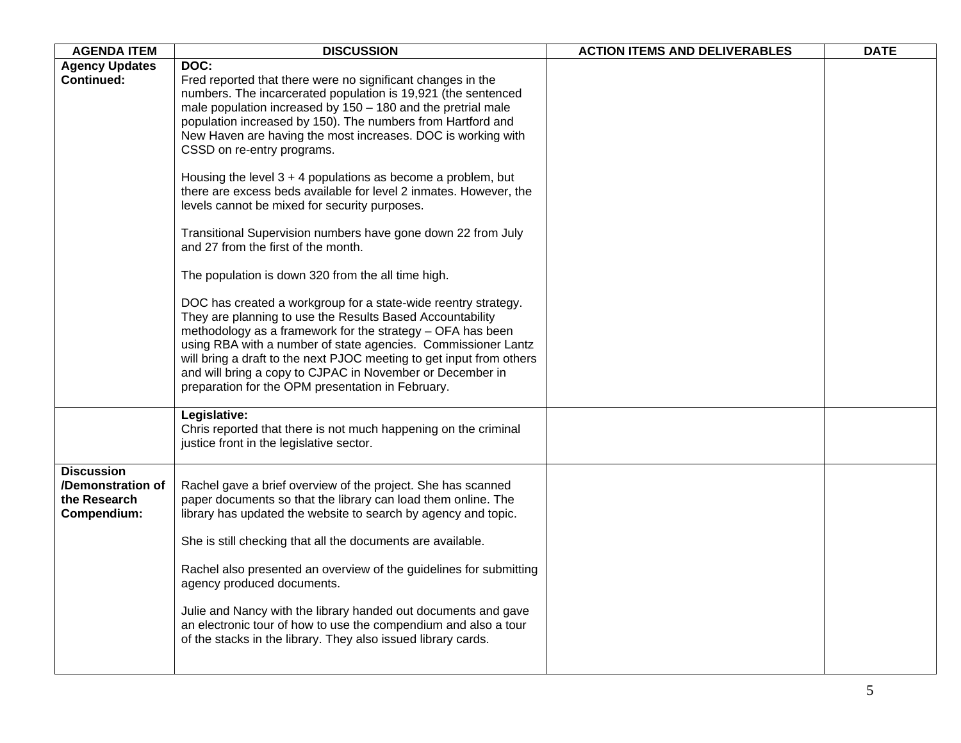| <b>AGENDA ITEM</b>                                                    | <b>DISCUSSION</b>                                                                                                                                                                                                                                                                                                                                                                                                                                    | <b>ACTION ITEMS AND DELIVERABLES</b> | <b>DATE</b> |
|-----------------------------------------------------------------------|------------------------------------------------------------------------------------------------------------------------------------------------------------------------------------------------------------------------------------------------------------------------------------------------------------------------------------------------------------------------------------------------------------------------------------------------------|--------------------------------------|-------------|
| <b>Agency Updates</b>                                                 | DOC:                                                                                                                                                                                                                                                                                                                                                                                                                                                 |                                      |             |
| <b>Continued:</b>                                                     | Fred reported that there were no significant changes in the<br>numbers. The incarcerated population is 19,921 (the sentenced<br>male population increased by $150 - 180$ and the pretrial male<br>population increased by 150). The numbers from Hartford and<br>New Haven are having the most increases. DOC is working with<br>CSSD on re-entry programs.                                                                                          |                                      |             |
|                                                                       | Housing the level $3 + 4$ populations as become a problem, but<br>there are excess beds available for level 2 inmates. However, the<br>levels cannot be mixed for security purposes.                                                                                                                                                                                                                                                                 |                                      |             |
|                                                                       | Transitional Supervision numbers have gone down 22 from July<br>and 27 from the first of the month.                                                                                                                                                                                                                                                                                                                                                  |                                      |             |
|                                                                       | The population is down 320 from the all time high.                                                                                                                                                                                                                                                                                                                                                                                                   |                                      |             |
|                                                                       | DOC has created a workgroup for a state-wide reentry strategy.<br>They are planning to use the Results Based Accountability<br>methodology as a framework for the strategy - OFA has been<br>using RBA with a number of state agencies. Commissioner Lantz<br>will bring a draft to the next PJOC meeting to get input from others<br>and will bring a copy to CJPAC in November or December in<br>preparation for the OPM presentation in February. |                                      |             |
|                                                                       | Legislative:<br>Chris reported that there is not much happening on the criminal<br>justice front in the legislative sector.                                                                                                                                                                                                                                                                                                                          |                                      |             |
| <b>Discussion</b><br>/Demonstration of<br>the Research<br>Compendium: | Rachel gave a brief overview of the project. She has scanned<br>paper documents so that the library can load them online. The<br>library has updated the website to search by agency and topic.                                                                                                                                                                                                                                                      |                                      |             |
|                                                                       | She is still checking that all the documents are available.<br>Rachel also presented an overview of the guidelines for submitting<br>agency produced documents.                                                                                                                                                                                                                                                                                      |                                      |             |
|                                                                       | Julie and Nancy with the library handed out documents and gave<br>an electronic tour of how to use the compendium and also a tour<br>of the stacks in the library. They also issued library cards.                                                                                                                                                                                                                                                   |                                      |             |